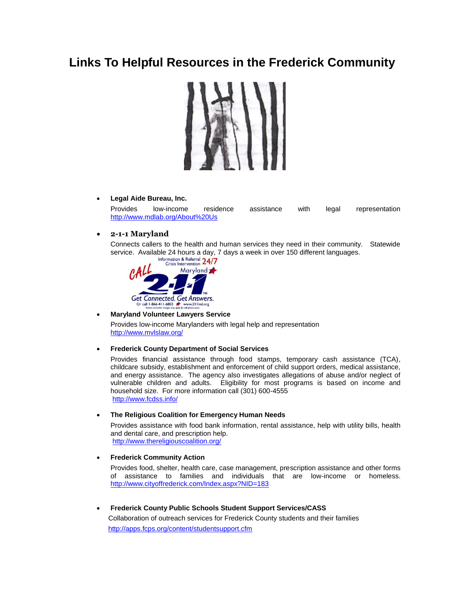# **Links To Helpful Resources in the Frederick Community**



### **Legal Aide Bureau, Inc.**

Provides low-income residence assistance with legal representation <http://www.mdlab.org/About%20Us>

## **2-1-1 Maryland**

Connects callers to the health and human services they need in their community. Statewide service. Available 24 hours a day, 7 days a week in over 150 different languages.<br>
Crisis Intervention 24/7<br>
Crisis Intervention 24/7



#### **Maryland Volunteer Lawyers Service**

Provides low-income Marylanders with legal help and representation <http://www.mvlslaw.org/>

#### **Frederick County Department of Social Services**

Provides financial assistance through food stamps, temporary cash assistance (TCA), childcare subsidy, establishment and enforcement of child support orders, medical assistance, and energy assistance. The agency also investigates allegations of abuse and/or neglect of vulnerable children and adults. Eligibility for most programs is based on income and household size. For more information call (301) 600-4555 <http://www.fcdss.info/>

## **The Religious Coalition for Emergency Human Needs**

Provides assistance with food bank information, rental assistance, help with utility bills, health and dental care, and prescription help. <http://www.thereligiouscoalition.org/>

#### **Frederick Community Action**

Provides food, shelter, health care, case management, prescription assistance and other forms of assistance to families and individuals that are low-income or homeless. <http://www.cityoffrederick.com/Index.aspx?NID=183>

 **Frederick County Public Schools Student Support Services/CASS** Collaboration of outreach services for Frederick County students and their families <http://apps.fcps.org/content/studentsupport.cfm>